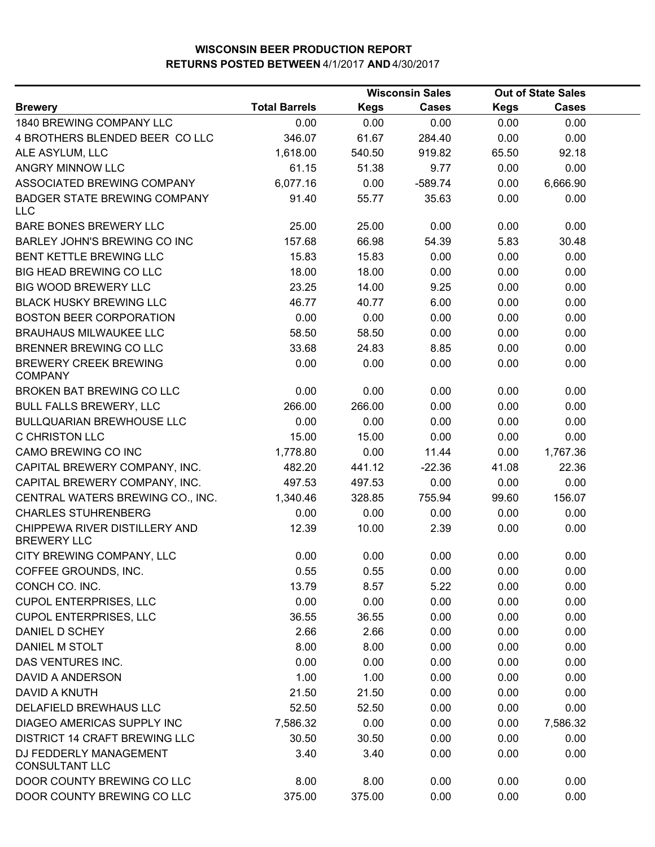|                                                     |                      |             | <b>Wisconsin Sales</b> |             | <b>Out of State Sales</b> |  |
|-----------------------------------------------------|----------------------|-------------|------------------------|-------------|---------------------------|--|
| <b>Brewery</b>                                      | <b>Total Barrels</b> | <b>Kegs</b> | <b>Cases</b>           | <b>Kegs</b> | <b>Cases</b>              |  |
| 1840 BREWING COMPANY LLC                            | 0.00                 | 0.00        | 0.00                   | 0.00        | 0.00                      |  |
| 4 BROTHERS BLENDED BEER COLLC                       | 346.07               | 61.67       | 284.40                 | 0.00        | 0.00                      |  |
| ALE ASYLUM, LLC                                     | 1,618.00             | 540.50      | 919.82                 | 65.50       | 92.18                     |  |
| ANGRY MINNOW LLC                                    | 61.15                | 51.38       | 9.77                   | 0.00        | 0.00                      |  |
| ASSOCIATED BREWING COMPANY                          | 6,077.16             | 0.00        | $-589.74$              | 0.00        | 6,666.90                  |  |
| <b>BADGER STATE BREWING COMPANY</b><br><b>LLC</b>   | 91.40                | 55.77       | 35.63                  | 0.00        | 0.00                      |  |
| BARE BONES BREWERY LLC                              | 25.00                | 25.00       | 0.00                   | 0.00        | 0.00                      |  |
| BARLEY JOHN'S BREWING CO INC                        | 157.68               | 66.98       | 54.39                  | 5.83        | 30.48                     |  |
| BENT KETTLE BREWING LLC                             | 15.83                | 15.83       | 0.00                   | 0.00        | 0.00                      |  |
| <b>BIG HEAD BREWING CO LLC</b>                      | 18.00                | 18.00       | 0.00                   | 0.00        | 0.00                      |  |
| <b>BIG WOOD BREWERY LLC</b>                         | 23.25                | 14.00       | 9.25                   | 0.00        | 0.00                      |  |
| <b>BLACK HUSKY BREWING LLC</b>                      | 46.77                | 40.77       | 6.00                   | 0.00        | 0.00                      |  |
| <b>BOSTON BEER CORPORATION</b>                      | 0.00                 | 0.00        | 0.00                   | 0.00        | 0.00                      |  |
| <b>BRAUHAUS MILWAUKEE LLC</b>                       | 58.50                | 58.50       | 0.00                   | 0.00        | 0.00                      |  |
| BRENNER BREWING CO LLC                              | 33.68                | 24.83       | 8.85                   | 0.00        | 0.00                      |  |
| <b>BREWERY CREEK BREWING</b><br><b>COMPANY</b>      | 0.00                 | 0.00        | 0.00                   | 0.00        | 0.00                      |  |
| BROKEN BAT BREWING CO LLC                           | 0.00                 | 0.00        | 0.00                   | 0.00        | 0.00                      |  |
| <b>BULL FALLS BREWERY, LLC</b>                      | 266.00               | 266.00      | 0.00                   | 0.00        | 0.00                      |  |
| <b>BULLQUARIAN BREWHOUSE LLC</b>                    | 0.00                 | 0.00        | 0.00                   | 0.00        | 0.00                      |  |
| C CHRISTON LLC                                      | 15.00                | 15.00       | 0.00                   | 0.00        | 0.00                      |  |
| CAMO BREWING CO INC                                 | 1,778.80             | 0.00        | 11.44                  | 0.00        | 1,767.36                  |  |
| CAPITAL BREWERY COMPANY, INC.                       | 482.20               | 441.12      | $-22.36$               | 41.08       | 22.36                     |  |
| CAPITAL BREWERY COMPANY, INC.                       | 497.53               | 497.53      | 0.00                   | 0.00        | 0.00                      |  |
| CENTRAL WATERS BREWING CO., INC.                    | 1,340.46             | 328.85      | 755.94                 | 99.60       | 156.07                    |  |
| <b>CHARLES STUHRENBERG</b>                          | 0.00                 | 0.00        | 0.00                   | 0.00        | 0.00                      |  |
| CHIPPEWA RIVER DISTILLERY AND<br><b>BREWERY LLC</b> | 12.39                | 10.00       | 2.39                   | 0.00        | 0.00                      |  |
| CITY BREWING COMPANY, LLC                           | 0.00                 | 0.00        | 0.00                   | 0.00        | 0.00                      |  |
| COFFEE GROUNDS, INC.                                | 0.55                 | 0.55        | 0.00                   | 0.00        | 0.00                      |  |
| CONCH CO. INC.                                      | 13.79                | 8.57        | 5.22                   | 0.00        | 0.00                      |  |
| <b>CUPOL ENTERPRISES, LLC</b>                       | 0.00                 | 0.00        | 0.00                   | 0.00        | 0.00                      |  |
| <b>CUPOL ENTERPRISES, LLC</b>                       | 36.55                | 36.55       | 0.00                   | 0.00        | 0.00                      |  |
| DANIEL D SCHEY                                      | 2.66                 | 2.66        | 0.00                   | 0.00        | 0.00                      |  |
| DANIEL M STOLT                                      | 8.00                 | 8.00        | 0.00                   | 0.00        | 0.00                      |  |
| DAS VENTURES INC.                                   | 0.00                 | 0.00        | 0.00                   | 0.00        | 0.00                      |  |
| DAVID A ANDERSON                                    | 1.00                 | 1.00        | 0.00                   | 0.00        | 0.00                      |  |
| DAVID A KNUTH                                       | 21.50                | 21.50       | 0.00                   | 0.00        | 0.00                      |  |
| DELAFIELD BREWHAUS LLC                              | 52.50                | 52.50       | 0.00                   | 0.00        | 0.00                      |  |
| DIAGEO AMERICAS SUPPLY INC                          | 7,586.32             | 0.00        | 0.00                   | 0.00        | 7,586.32                  |  |
| <b>DISTRICT 14 CRAFT BREWING LLC</b>                | 30.50                | 30.50       | 0.00                   | 0.00        | 0.00                      |  |
| DJ FEDDERLY MANAGEMENT<br><b>CONSULTANT LLC</b>     | 3.40                 | 3.40        | 0.00                   | 0.00        | 0.00                      |  |
| DOOR COUNTY BREWING CO LLC                          | 8.00                 | 8.00        | 0.00                   | 0.00        | 0.00                      |  |
| DOOR COUNTY BREWING CO LLC                          | 375.00               | 375.00      | 0.00                   | 0.00        | 0.00                      |  |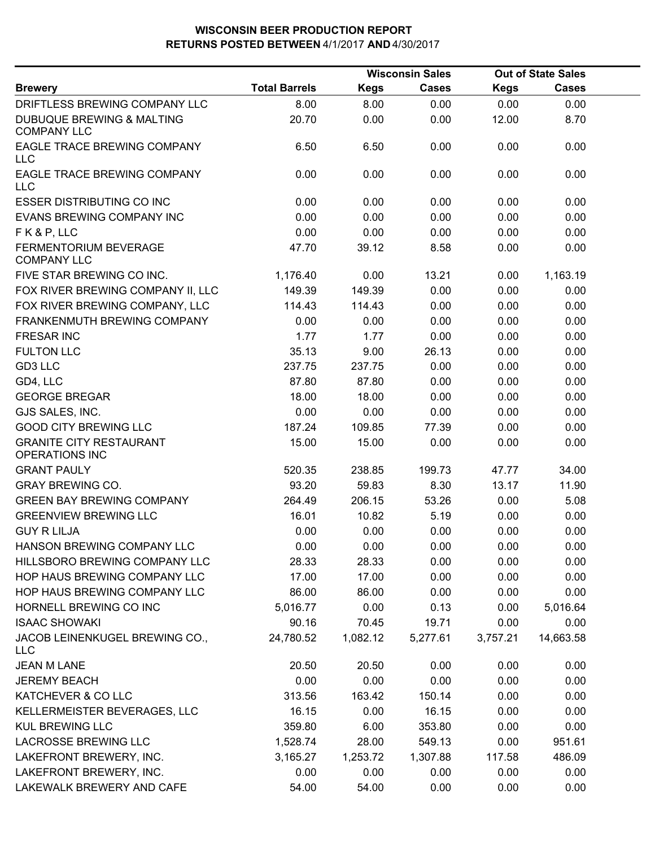|                                                            | <b>Wisconsin Sales</b> |             |              |             | <b>Out of State Sales</b> |  |
|------------------------------------------------------------|------------------------|-------------|--------------|-------------|---------------------------|--|
| <b>Brewery</b>                                             | <b>Total Barrels</b>   | <b>Kegs</b> | <b>Cases</b> | <b>Kegs</b> | <b>Cases</b>              |  |
| DRIFTLESS BREWING COMPANY LLC                              | 8.00                   | 8.00        | 0.00         | 0.00        | 0.00                      |  |
| <b>DUBUQUE BREWING &amp; MALTING</b><br><b>COMPANY LLC</b> | 20.70                  | 0.00        | 0.00         | 12.00       | 8.70                      |  |
| EAGLE TRACE BREWING COMPANY<br>LLC                         | 6.50                   | 6.50        | 0.00         | 0.00        | 0.00                      |  |
| EAGLE TRACE BREWING COMPANY<br><b>LLC</b>                  | 0.00                   | 0.00        | 0.00         | 0.00        | 0.00                      |  |
| <b>ESSER DISTRIBUTING CO INC</b>                           | 0.00                   | 0.00        | 0.00         | 0.00        | 0.00                      |  |
| EVANS BREWING COMPANY INC                                  | 0.00                   | 0.00        | 0.00         | 0.00        | 0.00                      |  |
| FK&P, LLC                                                  | 0.00                   | 0.00        | 0.00         | 0.00        | 0.00                      |  |
| FERMENTORIUM BEVERAGE<br><b>COMPANY LLC</b>                | 47.70                  | 39.12       | 8.58         | 0.00        | 0.00                      |  |
| FIVE STAR BREWING CO INC.                                  | 1,176.40               | 0.00        | 13.21        | 0.00        | 1,163.19                  |  |
| FOX RIVER BREWING COMPANY II, LLC                          | 149.39                 | 149.39      | 0.00         | 0.00        | 0.00                      |  |
| FOX RIVER BREWING COMPANY, LLC                             | 114.43                 | 114.43      | 0.00         | 0.00        | 0.00                      |  |
| <b>FRANKENMUTH BREWING COMPANY</b>                         | 0.00                   | 0.00        | 0.00         | 0.00        | 0.00                      |  |
| <b>FRESAR INC</b>                                          | 1.77                   | 1.77        | 0.00         | 0.00        | 0.00                      |  |
| <b>FULTON LLC</b>                                          | 35.13                  | 9.00        | 26.13        | 0.00        | 0.00                      |  |
| GD3 LLC                                                    | 237.75                 | 237.75      | 0.00         | 0.00        | 0.00                      |  |
| GD4, LLC                                                   | 87.80                  | 87.80       | 0.00         | 0.00        | 0.00                      |  |
| <b>GEORGE BREGAR</b>                                       | 18.00                  | 18.00       | 0.00         | 0.00        | 0.00                      |  |
| GJS SALES, INC.                                            | 0.00                   | 0.00        | 0.00         | 0.00        | 0.00                      |  |
| <b>GOOD CITY BREWING LLC</b>                               | 187.24                 | 109.85      | 77.39        | 0.00        | 0.00                      |  |
| <b>GRANITE CITY RESTAURANT</b><br><b>OPERATIONS INC</b>    | 15.00                  | 15.00       | 0.00         | 0.00        | 0.00                      |  |
| <b>GRANT PAULY</b>                                         | 520.35                 | 238.85      | 199.73       | 47.77       | 34.00                     |  |
| <b>GRAY BREWING CO.</b>                                    | 93.20                  | 59.83       | 8.30         | 13.17       | 11.90                     |  |
| <b>GREEN BAY BREWING COMPANY</b>                           | 264.49                 | 206.15      | 53.26        | 0.00        | 5.08                      |  |
| <b>GREENVIEW BREWING LLC</b>                               | 16.01                  | 10.82       | 5.19         | 0.00        | 0.00                      |  |
| <b>GUY R LILJA</b>                                         | 0.00                   | 0.00        | 0.00         | 0.00        | 0.00                      |  |
| HANSON BREWING COMPANY LLC                                 | 0.00                   | 0.00        | 0.00         | 0.00        | 0.00                      |  |
| HILLSBORO BREWING COMPANY LLC                              | 28.33                  | 28.33       | 0.00         | 0.00        | 0.00                      |  |
| HOP HAUS BREWING COMPANY LLC                               | 17.00                  | 17.00       | 0.00         | 0.00        | 0.00                      |  |
| HOP HAUS BREWING COMPANY LLC                               | 86.00                  | 86.00       | 0.00         | 0.00        | 0.00                      |  |
| HORNELL BREWING CO INC                                     | 5,016.77               | 0.00        | 0.13         | 0.00        | 5,016.64                  |  |
| <b>ISAAC SHOWAKI</b>                                       | 90.16                  | 70.45       | 19.71        | 0.00        | 0.00                      |  |
| JACOB LEINENKUGEL BREWING CO.,<br><b>LLC</b>               | 24,780.52              | 1,082.12    | 5,277.61     | 3,757.21    | 14,663.58                 |  |
| <b>JEAN M LANE</b>                                         | 20.50                  | 20.50       | 0.00         | 0.00        | 0.00                      |  |
| <b>JEREMY BEACH</b>                                        | 0.00                   | 0.00        | 0.00         | 0.00        | 0.00                      |  |
| KATCHEVER & CO LLC                                         | 313.56                 | 163.42      | 150.14       | 0.00        | 0.00                      |  |
| KELLERMEISTER BEVERAGES, LLC                               | 16.15                  | 0.00        | 16.15        | 0.00        | 0.00                      |  |
| <b>KUL BREWING LLC</b>                                     | 359.80                 | 6.00        | 353.80       | 0.00        | 0.00                      |  |
| <b>LACROSSE BREWING LLC</b>                                | 1,528.74               | 28.00       | 549.13       | 0.00        | 951.61                    |  |
| LAKEFRONT BREWERY, INC.                                    | 3,165.27               | 1,253.72    | 1,307.88     | 117.58      | 486.09                    |  |
| LAKEFRONT BREWERY, INC.                                    | 0.00                   | 0.00        | 0.00         | 0.00        | 0.00                      |  |
| LAKEWALK BREWERY AND CAFE                                  | 54.00                  | 54.00       | 0.00         | 0.00        | 0.00                      |  |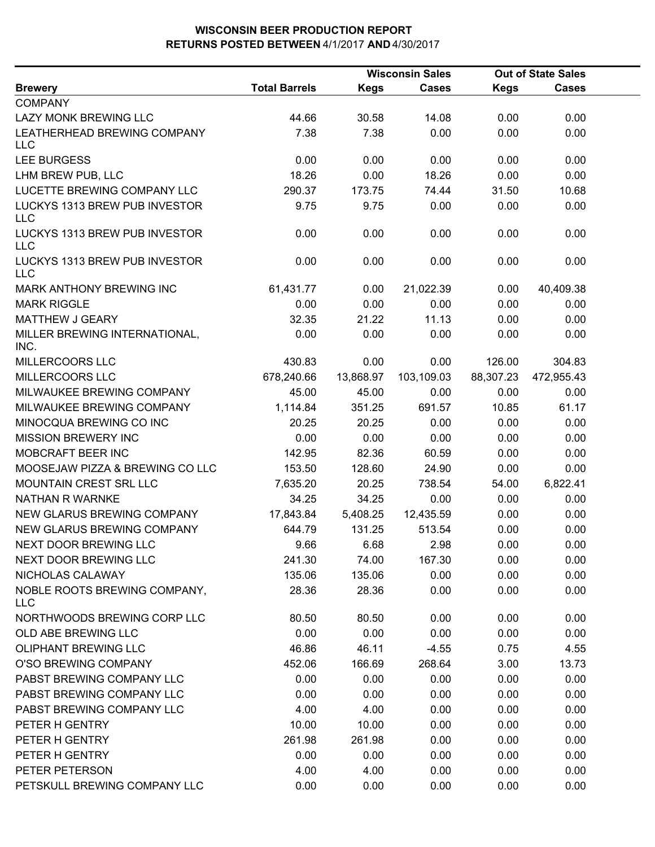|                                             |                      |             | <b>Wisconsin Sales</b> | <b>Out of State Sales</b> |              |  |
|---------------------------------------------|----------------------|-------------|------------------------|---------------------------|--------------|--|
| <b>Brewery</b>                              | <b>Total Barrels</b> | <b>Kegs</b> | <b>Cases</b>           | <b>Kegs</b>               | <b>Cases</b> |  |
| <b>COMPANY</b>                              |                      |             |                        |                           |              |  |
| LAZY MONK BREWING LLC                       | 44.66                | 30.58       | 14.08                  | 0.00                      | 0.00         |  |
| LEATHERHEAD BREWING COMPANY<br><b>LLC</b>   | 7.38                 | 7.38        | 0.00                   | 0.00                      | 0.00         |  |
| <b>LEE BURGESS</b>                          | 0.00                 | 0.00        | 0.00                   | 0.00                      | 0.00         |  |
| LHM BREW PUB, LLC                           | 18.26                | 0.00        | 18.26                  | 0.00                      | 0.00         |  |
| LUCETTE BREWING COMPANY LLC                 | 290.37               | 173.75      | 74.44                  | 31.50                     | 10.68        |  |
| LUCKYS 1313 BREW PUB INVESTOR<br><b>LLC</b> | 9.75                 | 9.75        | 0.00                   | 0.00                      | 0.00         |  |
| LUCKYS 1313 BREW PUB INVESTOR<br><b>LLC</b> | 0.00                 | 0.00        | 0.00                   | 0.00                      | 0.00         |  |
| LUCKYS 1313 BREW PUB INVESTOR<br><b>LLC</b> | 0.00                 | 0.00        | 0.00                   | 0.00                      | 0.00         |  |
| MARK ANTHONY BREWING INC                    | 61,431.77            | 0.00        | 21,022.39              | 0.00                      | 40,409.38    |  |
| <b>MARK RIGGLE</b>                          | 0.00                 | 0.00        | 0.00                   | 0.00                      | 0.00         |  |
| MATTHEW J GEARY                             | 32.35                | 21.22       | 11.13                  | 0.00                      | 0.00         |  |
| MILLER BREWING INTERNATIONAL,<br>INC.       | 0.00                 | 0.00        | 0.00                   | 0.00                      | 0.00         |  |
| MILLERCOORS LLC                             | 430.83               | 0.00        | 0.00                   | 126.00                    | 304.83       |  |
| MILLERCOORS LLC                             | 678,240.66           | 13,868.97   | 103,109.03             | 88,307.23                 | 472,955.43   |  |
| MILWAUKEE BREWING COMPANY                   | 45.00                | 45.00       | 0.00                   | 0.00                      | 0.00         |  |
| MILWAUKEE BREWING COMPANY                   | 1,114.84             | 351.25      | 691.57                 | 10.85                     | 61.17        |  |
| MINOCQUA BREWING CO INC                     | 20.25                | 20.25       | 0.00                   | 0.00                      | 0.00         |  |
| <b>MISSION BREWERY INC</b>                  | 0.00                 | 0.00        | 0.00                   | 0.00                      | 0.00         |  |
| MOBCRAFT BEER INC                           | 142.95               | 82.36       | 60.59                  | 0.00                      | 0.00         |  |
| MOOSEJAW PIZZA & BREWING CO LLC             | 153.50               | 128.60      | 24.90                  | 0.00                      | 0.00         |  |
| MOUNTAIN CREST SRL LLC                      | 7,635.20             | 20.25       | 738.54                 | 54.00                     | 6,822.41     |  |
| <b>NATHAN R WARNKE</b>                      | 34.25                | 34.25       | 0.00                   | 0.00                      | 0.00         |  |
| NEW GLARUS BREWING COMPANY                  | 17,843.84            | 5,408.25    | 12,435.59              | 0.00                      | 0.00         |  |
| NEW GLARUS BREWING COMPANY                  | 644.79               | 131.25      | 513.54                 | 0.00                      | 0.00         |  |
| NEXT DOOR BREWING LLC                       | 9.66                 | 6.68        | 2.98                   | 0.00                      | 0.00         |  |
| NEXT DOOR BREWING LLC                       | 241.30               | 74.00       | 167.30                 | 0.00                      | 0.00         |  |
| NICHOLAS CALAWAY                            | 135.06               | 135.06      | 0.00                   | 0.00                      | 0.00         |  |
| NOBLE ROOTS BREWING COMPANY,<br><b>LLC</b>  | 28.36                | 28.36       | 0.00                   | 0.00                      | 0.00         |  |
| NORTHWOODS BREWING CORP LLC                 | 80.50                | 80.50       | 0.00                   | 0.00                      | 0.00         |  |
| <b>OLD ABE BREWING LLC</b>                  | 0.00                 | 0.00        | 0.00                   | 0.00                      | 0.00         |  |
| <b>OLIPHANT BREWING LLC</b>                 | 46.86                | 46.11       | $-4.55$                | 0.75                      | 4.55         |  |
| O'SO BREWING COMPANY                        | 452.06               | 166.69      | 268.64                 | 3.00                      | 13.73        |  |
| PABST BREWING COMPANY LLC                   | 0.00                 | 0.00        | 0.00                   | 0.00                      | 0.00         |  |
| PABST BREWING COMPANY LLC                   | 0.00                 | 0.00        | 0.00                   | 0.00                      | 0.00         |  |
| PABST BREWING COMPANY LLC                   | 4.00                 | 4.00        | 0.00                   | 0.00                      | 0.00         |  |
| PETER H GENTRY                              | 10.00                | 10.00       | 0.00                   | 0.00                      | 0.00         |  |
| PETER H GENTRY                              | 261.98               | 261.98      | 0.00                   | 0.00                      | 0.00         |  |
| PETER H GENTRY                              | 0.00                 | 0.00        | 0.00                   | 0.00                      | 0.00         |  |
| PETER PETERSON                              | 4.00                 | 4.00        | 0.00                   | 0.00                      | 0.00         |  |
| PETSKULL BREWING COMPANY LLC                | 0.00                 | 0.00        | 0.00                   | 0.00                      | 0.00         |  |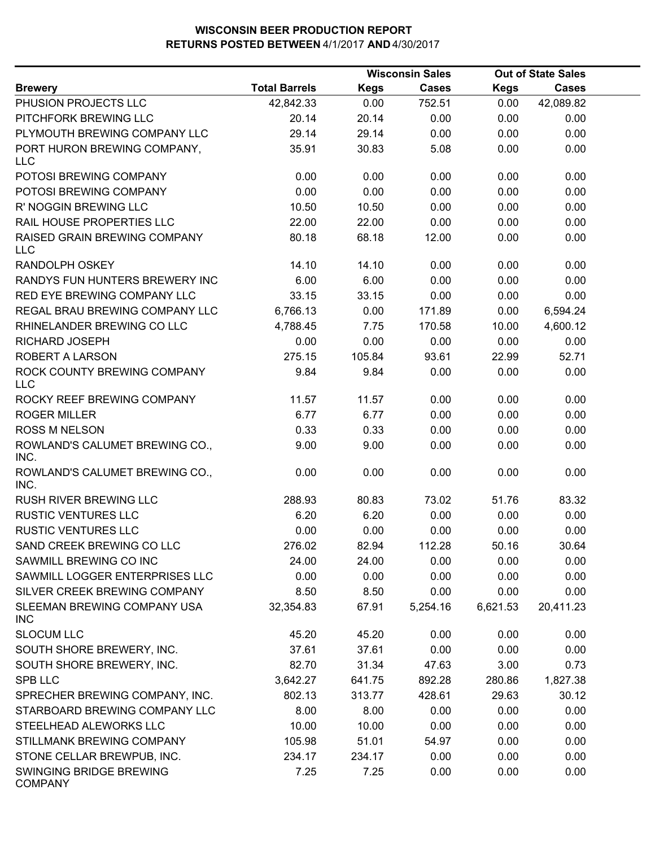|                                            |                      | <b>Wisconsin Sales</b> |              | <b>Out of State Sales</b> |              |  |
|--------------------------------------------|----------------------|------------------------|--------------|---------------------------|--------------|--|
| <b>Brewery</b>                             | <b>Total Barrels</b> | <b>Kegs</b>            | <b>Cases</b> | Kegs                      | <b>Cases</b> |  |
| PHUSION PROJECTS LLC                       | 42,842.33            | 0.00                   | 752.51       | 0.00                      | 42,089.82    |  |
| PITCHFORK BREWING LLC                      | 20.14                | 20.14                  | 0.00         | 0.00                      | 0.00         |  |
| PLYMOUTH BREWING COMPANY LLC               | 29.14                | 29.14                  | 0.00         | 0.00                      | 0.00         |  |
| PORT HURON BREWING COMPANY,<br>LLC         | 35.91                | 30.83                  | 5.08         | 0.00                      | 0.00         |  |
| POTOSI BREWING COMPANY                     | 0.00                 | 0.00                   | 0.00         | 0.00                      | 0.00         |  |
| POTOSI BREWING COMPANY                     | 0.00                 | 0.00                   | 0.00         | 0.00                      | 0.00         |  |
| R' NOGGIN BREWING LLC                      | 10.50                | 10.50                  | 0.00         | 0.00                      | 0.00         |  |
| RAIL HOUSE PROPERTIES LLC                  | 22.00                | 22.00                  | 0.00         | 0.00                      | 0.00         |  |
| RAISED GRAIN BREWING COMPANY<br><b>LLC</b> | 80.18                | 68.18                  | 12.00        | 0.00                      | 0.00         |  |
| <b>RANDOLPH OSKEY</b>                      | 14.10                | 14.10                  | 0.00         | 0.00                      | 0.00         |  |
| RANDYS FUN HUNTERS BREWERY INC             | 6.00                 | 6.00                   | 0.00         | 0.00                      | 0.00         |  |
| RED EYE BREWING COMPANY LLC                | 33.15                | 33.15                  | 0.00         | 0.00                      | 0.00         |  |
| REGAL BRAU BREWING COMPANY LLC             | 6,766.13             | 0.00                   | 171.89       | 0.00                      | 6,594.24     |  |
| RHINELANDER BREWING CO LLC                 | 4,788.45             | 7.75                   | 170.58       | 10.00                     | 4,600.12     |  |
| RICHARD JOSEPH                             | 0.00                 | 0.00                   | 0.00         | 0.00                      | 0.00         |  |
| ROBERT A LARSON                            | 275.15               | 105.84                 | 93.61        | 22.99                     | 52.71        |  |
| ROCK COUNTY BREWING COMPANY<br>LLC         | 9.84                 | 9.84                   | 0.00         | 0.00                      | 0.00         |  |
| ROCKY REEF BREWING COMPANY                 | 11.57                | 11.57                  | 0.00         | 0.00                      | 0.00         |  |
| <b>ROGER MILLER</b>                        | 6.77                 | 6.77                   | 0.00         | 0.00                      | 0.00         |  |
| <b>ROSS M NELSON</b>                       | 0.33                 | 0.33                   | 0.00         | 0.00                      | 0.00         |  |
| ROWLAND'S CALUMET BREWING CO.,<br>INC.     | 9.00                 | 9.00                   | 0.00         | 0.00                      | 0.00         |  |
| ROWLAND'S CALUMET BREWING CO.,<br>INC.     | 0.00                 | 0.00                   | 0.00         | 0.00                      | 0.00         |  |
| RUSH RIVER BREWING LLC                     | 288.93               | 80.83                  | 73.02        | 51.76                     | 83.32        |  |
| <b>RUSTIC VENTURES LLC</b>                 | 6.20                 | 6.20                   | 0.00         | 0.00                      | 0.00         |  |
| <b>RUSTIC VENTURES LLC</b>                 | 0.00                 | 0.00                   | 0.00         | 0.00                      | 0.00         |  |
| SAND CREEK BREWING CO LLC                  | 276.02               | 82.94                  | 112.28       | 50.16                     | 30.64        |  |
| SAWMILL BREWING CO INC                     | 24.00                | 24.00                  | 0.00         | 0.00                      | 0.00         |  |
| SAWMILL LOGGER ENTERPRISES LLC             | 0.00                 | 0.00                   | 0.00         | 0.00                      | 0.00         |  |
| SILVER CREEK BREWING COMPANY               | 8.50                 | 8.50                   | 0.00         | 0.00                      | 0.00         |  |
| SLEEMAN BREWING COMPANY USA<br><b>INC</b>  | 32,354.83            | 67.91                  | 5,254.16     | 6,621.53                  | 20,411.23    |  |
| <b>SLOCUM LLC</b>                          | 45.20                | 45.20                  | 0.00         | 0.00                      | 0.00         |  |
| SOUTH SHORE BREWERY, INC.                  | 37.61                | 37.61                  | 0.00         | 0.00                      | 0.00         |  |
| SOUTH SHORE BREWERY, INC.                  | 82.70                | 31.34                  | 47.63        | 3.00                      | 0.73         |  |
| <b>SPB LLC</b>                             | 3,642.27             | 641.75                 | 892.28       | 280.86                    | 1,827.38     |  |
| SPRECHER BREWING COMPANY, INC.             | 802.13               | 313.77                 | 428.61       | 29.63                     | 30.12        |  |
| STARBOARD BREWING COMPANY LLC              | 8.00                 | 8.00                   | 0.00         | 0.00                      | 0.00         |  |
| STEELHEAD ALEWORKS LLC                     | 10.00                | 10.00                  | 0.00         | 0.00                      | 0.00         |  |
| STILLMANK BREWING COMPANY                  | 105.98               | 51.01                  | 54.97        | 0.00                      | 0.00         |  |
| STONE CELLAR BREWPUB, INC.                 | 234.17               | 234.17                 | 0.00         | 0.00                      | 0.00         |  |
| SWINGING BRIDGE BREWING<br><b>COMPANY</b>  | 7.25                 | 7.25                   | 0.00         | 0.00                      | 0.00         |  |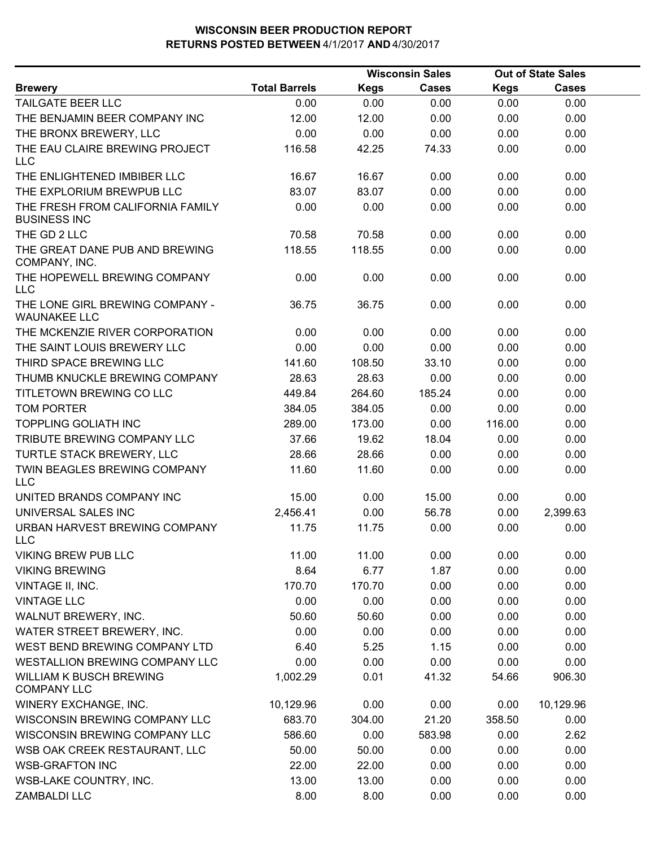|                      | <b>Wisconsin Sales</b> |              |             |              |                           |
|----------------------|------------------------|--------------|-------------|--------------|---------------------------|
| <b>Total Barrels</b> | <b>Kegs</b>            | <b>Cases</b> | <b>Kegs</b> | <b>Cases</b> |                           |
| 0.00                 | 0.00                   | 0.00         | 0.00        | 0.00         |                           |
| 12.00                | 12.00                  | 0.00         | 0.00        | 0.00         |                           |
| 0.00                 | 0.00                   | 0.00         | 0.00        | 0.00         |                           |
| 116.58               | 42.25                  | 74.33        | 0.00        | 0.00         |                           |
| 16.67                | 16.67                  | 0.00         | 0.00        | 0.00         |                           |
| 83.07                | 83.07                  | 0.00         | 0.00        | 0.00         |                           |
| 0.00                 | 0.00                   | 0.00         | 0.00        | 0.00         |                           |
| 70.58                | 70.58                  | 0.00         | 0.00        | 0.00         |                           |
| 118.55               | 118.55                 | 0.00         | 0.00        | 0.00         |                           |
| 0.00                 | 0.00                   | 0.00         | 0.00        | 0.00         |                           |
| 36.75                | 36.75                  | 0.00         | 0.00        | 0.00         |                           |
| 0.00                 | 0.00                   | 0.00         | 0.00        | 0.00         |                           |
| 0.00                 | 0.00                   | 0.00         | 0.00        | 0.00         |                           |
| 141.60               | 108.50                 | 33.10        | 0.00        | 0.00         |                           |
| 28.63                | 28.63                  | 0.00         | 0.00        | 0.00         |                           |
| 449.84               | 264.60                 | 185.24       | 0.00        | 0.00         |                           |
| 384.05               | 384.05                 | 0.00         | 0.00        | 0.00         |                           |
| 289.00               | 173.00                 | 0.00         | 116.00      | 0.00         |                           |
| 37.66                | 19.62                  | 18.04        | 0.00        | 0.00         |                           |
| 28.66                | 28.66                  | 0.00         | 0.00        | 0.00         |                           |
| 11.60                | 11.60                  | 0.00         | 0.00        | 0.00         |                           |
| 15.00                | 0.00                   | 15.00        | 0.00        | 0.00         |                           |
| 2,456.41             | 0.00                   | 56.78        | 0.00        | 2,399.63     |                           |
| 11.75                | 11.75                  | 0.00         | 0.00        | 0.00         |                           |
| 11.00                | 11.00                  | 0.00         | 0.00        | 0.00         |                           |
| 8.64                 | 6.77                   | 1.87         | 0.00        | 0.00         |                           |
| 170.70               | 170.70                 | 0.00         | 0.00        | 0.00         |                           |
| 0.00                 | 0.00                   | 0.00         | 0.00        | 0.00         |                           |
| 50.60                | 50.60                  | 0.00         | 0.00        | 0.00         |                           |
| 0.00                 | 0.00                   | 0.00         | 0.00        | 0.00         |                           |
| 6.40                 | 5.25                   | 1.15         | 0.00        | 0.00         |                           |
| 0.00                 | 0.00                   | 0.00         | 0.00        | 0.00         |                           |
| 1,002.29             | 0.01                   | 41.32        | 54.66       | 906.30       |                           |
| 10,129.96            | 0.00                   | 0.00         | 0.00        | 10,129.96    |                           |
| 683.70               | 304.00                 | 21.20        | 358.50      | 0.00         |                           |
| 586.60               | 0.00                   | 583.98       | 0.00        | 2.62         |                           |
| 50.00                | 50.00                  | 0.00         | 0.00        | 0.00         |                           |
| 22.00                | 22.00                  | 0.00         | 0.00        | 0.00         |                           |
| 13.00                | 13.00                  | 0.00         | 0.00        | 0.00         |                           |
| 8.00                 | 8.00                   | 0.00         | 0.00        | 0.00         |                           |
|                      |                        |              |             |              | <b>Out of State Sales</b> |